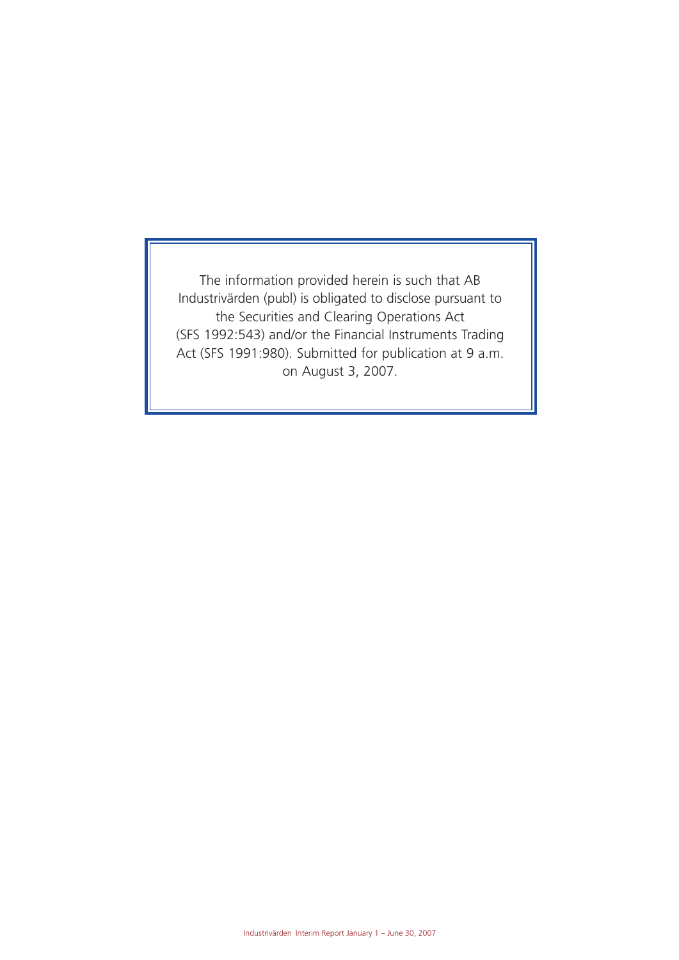The information provided herein is such that AB Industrivärden (publ) is obligated to disclose pursuant to the Securities and Clearing Operations Act (SFS 1992:543) and/or the Financial Instruments Trading Act (SFS 1991:980). Submitted for publication at 9 a.m. on August 3, 2007.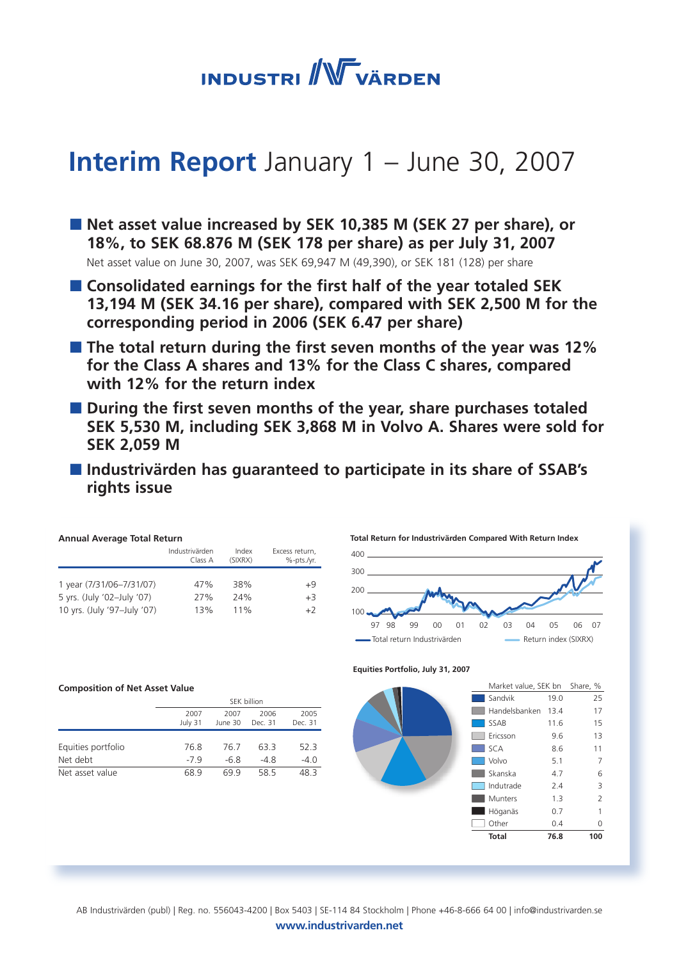**INDUSTRI** WVÄRDEN

# **Interim Report** January 1 – June 30, 2007

■ Net asset value increased by SEK 10,385 M (SEK 27 per share), or **18%, to SEK 68.876 M (SEK 178 per share) as per July 31, 2007**  Net asset value on June 30, 2007, was SEK 69,947 M (49,390), or SEK 181 (128) per share

- Consolidated earnings for the first half of the year totaled SEK **13,194 M (SEK 34.16 per share), compared with SEK 2,500 M for the corresponding period in 2006 (SEK 6.47 per share)**
- **The total return during the first seven months of the year was 12% for the Class A shares and 13% for the Class C shares, compared with 12% for the return index**
- During the first seven months of the year, share purchases totaled **SEK 5,530 M, including SEK 3,868 M in Volvo A. Shares were sold for SEK 2,059 M**
- **Industrivärden has guaranteed to participate in its share of SSAB's rights issue**

| <b>Annual Average Total Return</b> |                           |                  |                              |  |  |  |  |  |
|------------------------------------|---------------------------|------------------|------------------------------|--|--|--|--|--|
|                                    | Industrivärden<br>Class A | Index<br>(SIXRX) | Excess return,<br>%-pts./vr. |  |  |  |  |  |
|                                    |                           |                  |                              |  |  |  |  |  |
| 1 year (7/31/06-7/31/07)           | 47%                       | 38%              | +9                           |  |  |  |  |  |
| 5 yrs. (July '02-July '07)         | 27%                       | 24%              | $+3$                         |  |  |  |  |  |
| 10 yrs. (July '97-July '07)        | 13%                       | 11%              | $+2$                         |  |  |  |  |  |

### **Composition of Net Asset Value**

|                    | SEK billion |         |         |         |  |
|--------------------|-------------|---------|---------|---------|--|
|                    | 2007        | 2007    | 2006    | 2005    |  |
|                    | July 31     | June 30 | Dec. 31 | Dec. 31 |  |
|                    |             |         |         |         |  |
| Equities portfolio | 76.8        | 76 7    | 633     | 52.3    |  |
| Net debt           | $-79$       | -6.8    | -48     | $-4.0$  |  |
| Net asset value    | 689         | 699     | 58.5    | 48 3    |  |







 | Industrivärden Interim Report January 1 – June 30, 2007 AB Industrivärden (publ) | Reg. no. 556043-4200 | Box 5403 | SE-114 84 Stockholm | Phone +46-8-666 64 00 | info@industrivarden.se **www.industrivarden.net**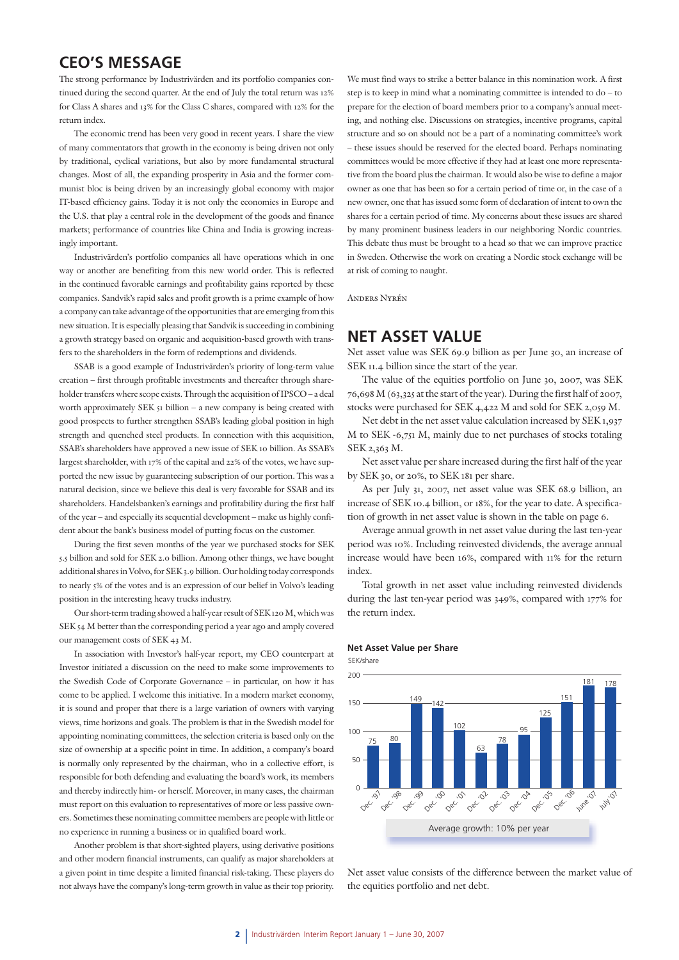### **CEO'S MESSAGE**

The strong performance by Industrivärden and its portfolio companies continued during the second quarter. At the end of July the total return was 12% for Class A shares and 13% for the Class C shares, compared with 12% for the return index.

The economic trend has been very good in recent years. I share the view of many commentators that growth in the economy is being driven not only by traditional, cyclical variations, but also by more fundamental structural changes. Most of all, the expanding prosperity in Asia and the former communist bloc is being driven by an increasingly global economy with major IT-based efficiency gains. Today it is not only the economies in Europe and the U.S. that play a central role in the development of the goods and finance markets; performance of countries like China and India is growing increasingly important.

Industrivärden's portfolio companies all have operations which in one way or another are benefiting from this new world order. This is reflected in the continued favorable earnings and profitability gains reported by these companies. Sandvik's rapid sales and profit growth is a prime example of how a company can take advantage of the opportunities that are emerging from this new situation. It is especially pleasing that Sandvik is succeeding in combining a growth strategy based on organic and acquisition-based growth with transfers to the shareholders in the form of redemptions and dividends.

SSAB is a good example of Industrivärden's priority of long-term value creation – first through profitable investments and thereafter through shareholder transfers where scope exists. Through the acquisition of IPSCO – a deal worth approximately SEK 51 billion – a new company is being created with good prospects to further strengthen SSAB's leading global position in high strength and quenched steel products. In connection with this acquisition, SSAB's shareholders have approved a new issue of SEK 10 billion. As SSAB's largest shareholder, with 17% of the capital and 22% of the votes, we have supported the new issue by guaranteeing subscription of our portion. This was a natural decision, since we believe this deal is very favorable for SSAB and its shareholders. Handelsbanken's earnings and profitability during the first half of the year – and especially its sequential development – make us highly confident about the bank's business model of putting focus on the customer.

During the first seven months of the year we purchased stocks for SEK 5.5 billion and sold for SEK 2.0 billion. Among other things, we have bought additional shares in Volvo, for SEK 3.9 billion. Our holding today corresponds to nearly 5% of the votes and is an expression of our belief in Volvo's leading position in the interesting heavy trucks industry.

Our short-term trading showed a half-year result of SEK 120 M, which was SEK 54 M better than the corresponding period a year ago and amply covered our management costs of SEK 43 M.

In association with Investor's half-year report, my CEO counterpart at Investor initiated a discussion on the need to make some improvements to the Swedish Code of Corporate Governance – in particular, on how it has come to be applied. I welcome this initiative. In a modern market economy, it is sound and proper that there is a large variation of owners with varying views, time horizons and goals. The problem is that in the Swedish model for appointing nominating committees, the selection criteria is based only on the size of ownership at a specific point in time. In addition, a company's board is normally only represented by the chairman, who in a collective effort, is responsible for both defending and evaluating the board's work, its members and thereby indirectly him- or herself. Moreover, in many cases, the chairman must report on this evaluation to representatives of more or less passive owners. Sometimes these nominating committee members are people with little or no experience in running a business or in qualified board work.

Another problem is that short-sighted players, using derivative positions and other modern financial instruments, can qualify as major shareholders at a given point in time despite a limited financial risk-taking. These players do not always have the company's long-term growth in value as their top priority.

We must find ways to strike a better balance in this nomination work. A first step is to keep in mind what a nominating committee is intended to do – to prepare for the election of board members prior to a company's annual meeting, and nothing else. Discussions on strategies, incentive programs, capital structure and so on should not be a part of a nominating committee's work – these issues should be reserved for the elected board. Perhaps nominating committees would be more effective if they had at least one more representative from the board plus the chairman. It would also be wise to define a major owner as one that has been so for a certain period of time or, in the case of a new owner, one that has issued some form of declaration of intent to own the shares for a certain period of time. My concerns about these issues are shared by many prominent business leaders in our neighboring Nordic countries. This debate thus must be brought to a head so that we can improve practice in Sweden. Otherwise the work on creating a Nordic stock exchange will be at risk of coming to naught.

Anders Nyrén

### **NET ASSET VALUE**

Net asset value was SEK 69.9 billion as per June 30, an increase of SEK 11.4 billion since the start of the year.

The value of the equities portfolio on June 30, 2007, was SEK 76,698 M (63,325 at the start of the year). During the first half of 2007, stocks were purchased for SEK 4,422 M and sold for SEK 2,059 M.

Net debt in the net asset value calculation increased by SEK 1,937 M to SEK -6,751 M, mainly due to net purchases of stocks totaling SEK 2,363 M.

Net asset value per share increased during the first half of the year by SEK 30, or 20%, to SEK 181 per share.

As per July 31, 2007, net asset value was SEK 68.9 billion, an increase of SEK 10.4 billion, or 18%, for the year to date. A specification of growth in net asset value is shown in the table on page 6.

Average annual growth in net asset value during the last ten-year period was 10%. Including reinvested dividends, the average annual increase would have been 16%, compared with 11% for the return index.

Total growth in net asset value including reinvested dividends during the last ten-year period was 349%, compared with 177% for the return index.

#### **Net Asset Value per Share**

SEK/share



Net asset value consists of the difference between the market value of the equities portfolio and net debt.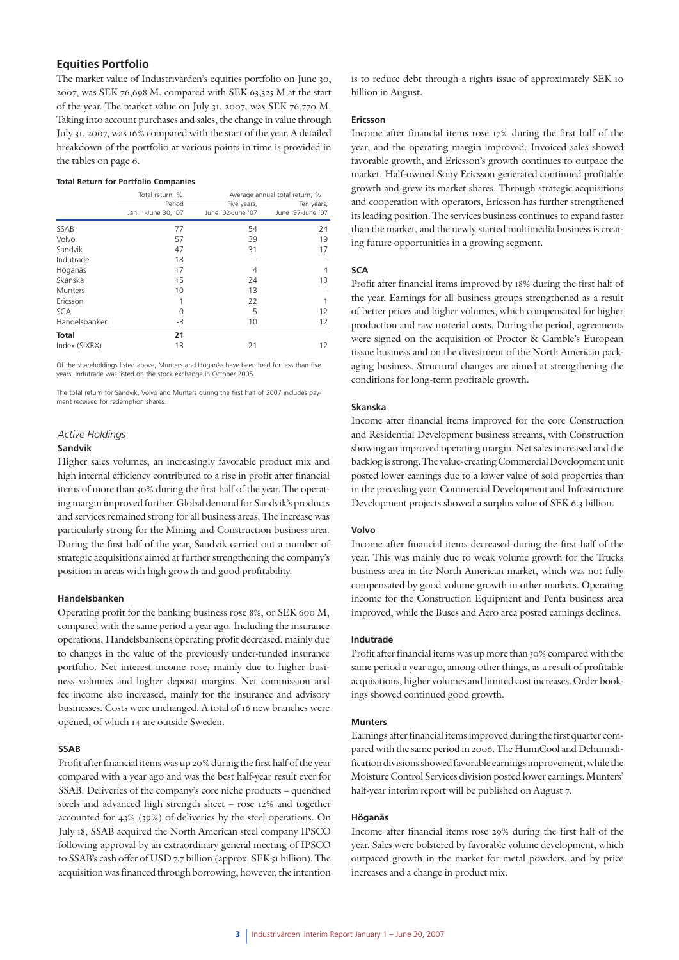### **Equities Portfolio**

The market value of Industrivärden's equities portfolio on June 30, 2007, was SEK 76,698 M, compared with SEK 63,325 M at the start of the year. The market value on July 31, 2007, was SEK 76,770 M. Taking into account purchases and sales, the change in value through July 31, 2007, was 16% compared with the start of the year. A detailed breakdown of the portfolio at various points in time is provided in the tables on page 6.

#### **Total Return for Portfolio Companies**

|               | Total return, %     | Average annual total return, % |                   |  |
|---------------|---------------------|--------------------------------|-------------------|--|
|               | Period              | Five years,                    | Ten years,        |  |
|               | Jan. 1-June 30, '07 | June '02-June '07              | June '97-June '07 |  |
| SSAB          | 77                  | 54                             | 24                |  |
| Volvo         | 57                  | 39                             | 19                |  |
| Sandvik       | 47                  | 31                             | 17                |  |
| Indutrade     | 18                  |                                |                   |  |
| Höganäs       | 17                  | 4                              | 4                 |  |
| Skanska       | 15                  | 24                             | 13                |  |
| Munters       | 10                  | 13                             |                   |  |
| Ericsson      | 1                   | 22                             |                   |  |
| <b>SCA</b>    | 0                   | 5                              | 12                |  |
| Handelsbanken | -3                  | 10                             | 12                |  |
| <b>Total</b>  | 21                  |                                |                   |  |
| Index (SIXRX) | 13                  | 21                             | 12                |  |

Of the shareholdings listed above, Munters and Höganäs have been held for less than five years. Indutrade was listed on the stock exchange in October 2005.

The total return for Sandvik, Volvo and Munters during the first half of 2007 includes payment received for redemption shares.

#### *Active Holdings*

#### **Sandvik**

Higher sales volumes, an increasingly favorable product mix and high internal efficiency contributed to a rise in profit after financial items of more than 30% during the first half of the year. The operating margin improved further. Global demand for Sandvik's products and services remained strong for all business areas. The increase was particularly strong for the Mining and Construction business area. During the first half of the year, Sandvik carried out a number of strategic acquisitions aimed at further strengthening the company's position in areas with high growth and good profitability.

#### **Handelsbanken**

Operating profit for the banking business rose 8%, or SEK 600 M, compared with the same period a year ago. Including the insurance operations, Handelsbankens operating profit decreased, mainly due to changes in the value of the previously under-funded insurance portfolio. Net interest income rose, mainly due to higher business volumes and higher deposit margins. Net commission and fee income also increased, mainly for the insurance and advisory businesses. Costs were unchanged. A total of 16 new branches were opened, of which 14 are outside Sweden.

### **SSAB**

Profit after financial items was up 20% during the first half of the year compared with a year ago and was the best half-year result ever for SSAB. Deliveries of the company's core niche products – quenched steels and advanced high strength sheet – rose 12% and together accounted for 43% (39%) of deliveries by the steel operations. On July 18, SSAB acquired the North American steel company IPSCO following approval by an extraordinary general meeting of IPSCO to SSAB's cash offer of USD 7.7 billion (approx. SEK 51 billion). The acquisition was financed through borrowing, however, the intention is to reduce debt through a rights issue of approximately SEK 10 billion in August.

### **Ericsson**

Income after financial items rose 17% during the first half of the year, and the operating margin improved. Invoiced sales showed favorable growth, and Ericsson's growth continues to outpace the market. Half-owned Sony Ericsson generated continued profitable growth and grew its market shares. Through strategic acquisitions and cooperation with operators, Ericsson has further strengthened its leading position. The services business continues to expand faster than the market, and the newly started multimedia business is creating future opportunities in a growing segment.

### **SCA**

Profit after financial items improved by 18% during the first half of the year. Earnings for all business groups strengthened as a result of better prices and higher volumes, which compensated for higher production and raw material costs. During the period, agreements were signed on the acquisition of Procter & Gamble's European tissue business and on the divestment of the North American packaging business. Structural changes are aimed at strengthening the conditions for long-term profitable growth.

#### **Skanska**

Income after financial items improved for the core Construction and Residential Development business streams, with Construction showing an improved operating margin. Net sales increased and the backlog is strong. The value-creating Commercial Development unit posted lower earnings due to a lower value of sold properties than in the preceding year. Commercial Development and Infrastructure Development projects showed a surplus value of SEK 6.3 billion.

#### **Volvo**

Income after financial items decreased during the first half of the year. This was mainly due to weak volume growth for the Trucks business area in the North American market, which was not fully compensated by good volume growth in other markets. Operating income for the Construction Equipment and Penta business area improved, while the Buses and Aero area posted earnings declines.

### **Indutrade**

Profit after financial items was up more than 50% compared with the same period a year ago, among other things, as a result of profitable acquisitions, higher volumes and limited cost increases. Order bookings showed continued good growth.

#### **Munters**

Earnings after financial items improved during the first quarter compared with the same period in 2006. The HumiCool and Dehumidification divisions showed favorable earnings improvement, while the Moisture Control Services division posted lower earnings. Munters' half-year interim report will be published on August 7.

### **Höganäs**

Income after financial items rose 29% during the first half of the year. Sales were bolstered by favorable volume development, which outpaced growth in the market for metal powders, and by price increases and a change in product mix.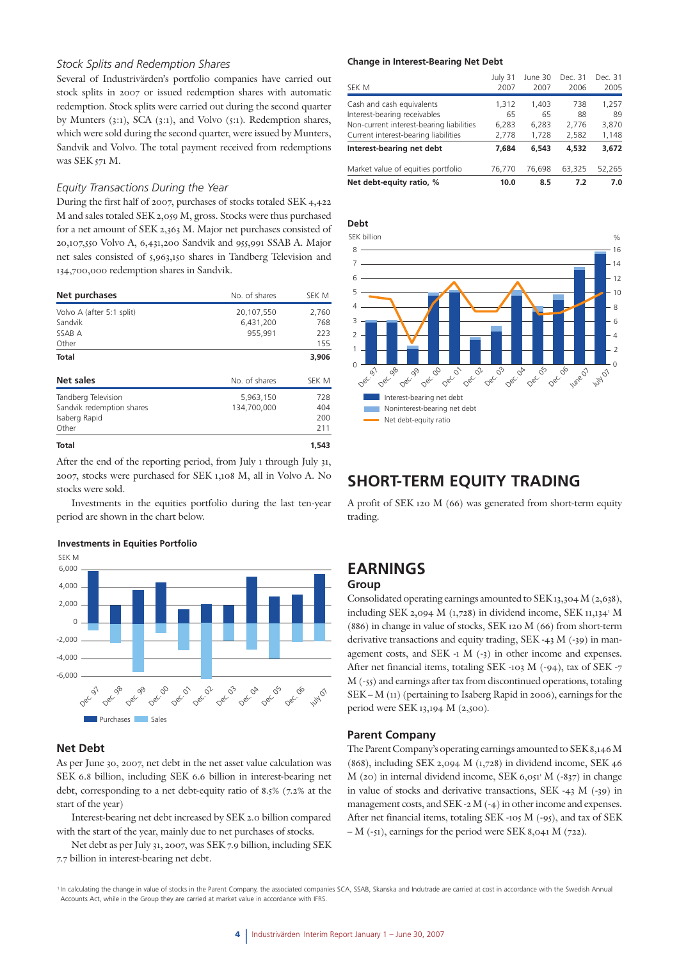### *Stock Splits and Redemption Shares*

Several of Industrivärden's portfolio companies have carried out stock splits in 2007 or issued redemption shares with automatic redemption. Stock splits were carried out during the second quarter by Munters (3:1), SCA (3:1), and Volvo (5:1). Redemption shares, which were sold during the second quarter, were issued by Munters, Sandvik and Volvo. The total payment received from redemptions was SEK 571 M.

### *Equity Transactions During the Year*

During the first half of 2007, purchases of stocks totaled SEK 4,422 M and sales totaled SEK 2,059 M, gross. Stocks were thus purchased for a net amount of SEK 2,363 M. Major net purchases consisted of 20,107,550 Volvo A, 6,431,200 Sandvik and 955,991 SSAB A. Major net sales consisted of 5,963,150 shares in Tandberg Television and 134,700,000 redemption shares in Sandvik.

| Net purchases                                                              | No. of shares                      | SEK M                      |
|----------------------------------------------------------------------------|------------------------------------|----------------------------|
| Volvo A (after 5:1 split)<br>Sandvik<br>SSAB A<br>Other                    | 20,107,550<br>6,431,200<br>955,991 | 2,760<br>768<br>223<br>155 |
| Total                                                                      |                                    | 3,906                      |
| Net sales                                                                  | No. of shares                      | SEK M                      |
| Tandberg Television<br>Sandvik redemption shares<br>Isaberg Rapid<br>Other | 5,963,150<br>134,700,000           | 728<br>404<br>200<br>211   |
| <b>Total</b>                                                               |                                    | 1,543                      |

After the end of the reporting period, from July 1 through July 31, 2007, stocks were purchased for SEK 1,108 M, all in Volvo A. No stocks were sold.

Investments in the equities portfolio during the last ten-year period are shown in the chart below.

#### **Investments in Equities Portfolio**



### **Net Debt**

As per June 30, 2007, net debt in the net asset value calculation was SEK 6.8 billion, including SEK 6.6 billion in interest-bearing net debt, corresponding to a net debt-equity ratio of 8.5% (7.2% at the start of the year)

Interest-bearing net debt increased by SEK 2.0 billion compared with the start of the year, mainly due to net purchases of stocks.

Net debt as per July 31, 2007, was SEK 7.9 billion, including SEK 7.7 billion in interest-bearing net debt.

#### **Change in Interest-Bearing Net Debt**

| Net debt-equity ratio, %                 | 10.0    | 8.5     | 7.2     | 7.0     |
|------------------------------------------|---------|---------|---------|---------|
| Market value of equities portfolio       | 76,770  | 76.698  | 63,325  | 52.265  |
| Interest-bearing net debt                | 7.684   | 6,543   | 4,532   | 3,672   |
| Current interest-bearing liabilities     | 2,778   | 1,728   | 2,582   | 1,148   |
| Non-current interest-bearing liabilities | 6,283   | 6,283   | 2,776   | 3,870   |
| Interest-bearing receivables             | 65      | 65      | 88      | 89      |
| Cash and cash equivalents                | 1,312   | 1,403   | 738     | 1,257   |
| SEK M                                    | 2007    | 2007    | 2006    | 2005    |
|                                          | July 31 | June 30 | Dec. 31 | Dec. 31 |



### **SHORT-TERM EQUITY TRADING**

A profit of SEK 120 M (66) was generated from short-term equity trading.

# **EARNINGS**

### **Group**

Consolidated operating earnings amounted to SEK 13,304 M (2,638), including SEK 2,094 M  $(1,728)$  in dividend income, SEK  $11,134$ <sup>1</sup> M (886) in change in value of stocks, SEK 120 M (66) from short-term derivative transactions and equity trading, SEK -43 M (-39) in management costs, and SEK -1 M (-3) in other income and expenses. After net financial items, totaling SEK -103 M (-94), tax of SEK -7 M (-55) and earnings after tax from discontinued operations, totaling SEK – M (11) (pertaining to Isaberg Rapid in 2006), earnings for the period were SEK 13,194 M (2,500).

### **Parent Company**

The Parent Company's operating earnings amounted to SEK 8,146 M (868), including SEK 2,094 M (1,728) in dividend income, SEK 46  $M$  (20) in internal dividend income, SEK 6,051<sup>3</sup>  $M$  (-837) in change in value of stocks and derivative transactions, SEK -43 M (-39) in management costs, and SEK -2 M (-4) in other income and expenses. After net financial items, totaling SEK -105 M (-95), and tax of SEK  $-M$  (-51), earnings for the period were SEK 8,041 M (722).

<sup>1</sup> In calculating the change in value of stocks in the Parent Company, the associated companies SCA, SSAB, Skanska and Indutrade are carried at cost in accordance with the Swedish Annual Accounts Act, while in the Group they are carried at market value in accordance with IFRS.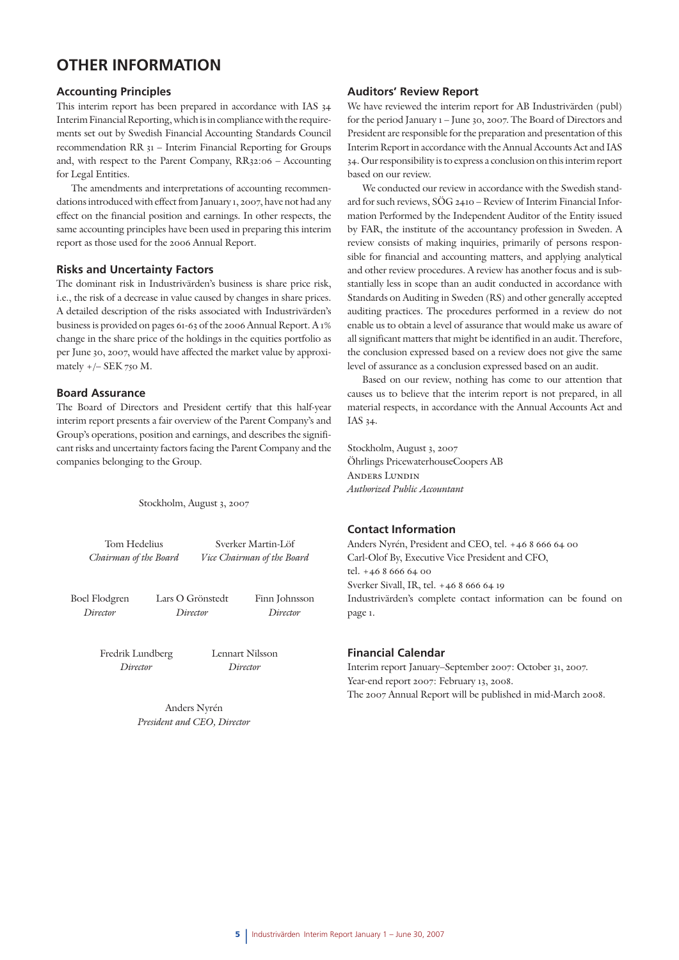## **OTHER INFORMATION**

### **Accounting Principles**

This interim report has been prepared in accordance with IAS 34 Interim Financial Reporting, which is in compliance with the requirements set out by Swedish Financial Accounting Standards Council recommendation RR 31 – Interim Financial Reporting for Groups and, with respect to the Parent Company, RR32:06 – Accounting for Legal Entities.

The amendments and interpretations of accounting recommendations introduced with effect from January 1, 2007, have not had any effect on the financial position and earnings. In other respects, the same accounting principles have been used in preparing this interim report as those used for the 2006 Annual Report.

### **Risks and Uncertainty Factors**

The dominant risk in Industrivärden's business is share price risk, i.e., the risk of a decrease in value caused by changes in share prices. A detailed description of the risks associated with Industrivärden's business is provided on pages 61-63 of the 2006 Annual Report. A 1% change in the share price of the holdings in the equities portfolio as per June 30, 2007, would have affected the market value by approximately +/– SEK 750 M.

### **Board Assurance**

The Board of Directors and President certify that this half-year interim report presents a fair overview of the Parent Company's and Group's operations, position and earnings, and describes the significant risks and uncertainty factors facing the Parent Company and the companies belonging to the Group.

Stockholm, August 3, 2007

Tom Hedelius Sverker Martin-Löf  *Chairman of the Board Vice Chairman of the Board* Boel Flodgren Lars O Grönstedt Finn Johnsson *Director Director Director* Fredrik Lundberg Lennart Nilsson *Director Director*

> Anders Nyrén *President and CEO, Director*

### **Auditors' Review Report**

We have reviewed the interim report for AB Industrivärden (publ) for the period January 1 – June 30, 2007. The Board of Directors and President are responsible for the preparation and presentation of this Interim Report in accordance with the Annual Accounts Act and IAS 34. Our responsibility is to express a conclusion on this interim report based on our review.

We conducted our review in accordance with the Swedish standard for such reviews, SÖG 2410 – Review of Interim Financial Information Performed by the Independent Auditor of the Entity issued by FAR, the institute of the accountancy profession in Sweden. A review consists of making inquiries, primarily of persons responsible for financial and accounting matters, and applying analytical and other review procedures. A review has another focus and is substantially less in scope than an audit conducted in accordance with Standards on Auditing in Sweden (RS) and other generally accepted auditing practices. The procedures performed in a review do not enable us to obtain a level of assurance that would make us aware of all significant matters that might be identified in an audit. Therefore, the conclusion expressed based on a review does not give the same level of assurance as a conclusion expressed based on an audit.

Based on our review, nothing has come to our attention that causes us to believe that the interim report is not prepared, in all material respects, in accordance with the Annual Accounts Act and IAS 34.

Stockholm, August 3, 2007 Öhrlings PricewaterhouseCoopers AB Anders Lundin *Authorized Public Accountant*

### **Contact Information**

Anders Nyrén, President and CEO, tel. +46 8 666 64 00 Carl-Olof By, Executive Vice President and CFO, tel. +46 8 666 64 00 Sverker Sivall, IR, tel. +46 8 666 64 19 Industrivärden's complete contact information can be found on page 1.

### **Financial Calendar**

Interim report January–September 2007: October 31, 2007. Year-end report 2007: February 13, 2008. The 2007 Annual Report will be published in mid-March 2008.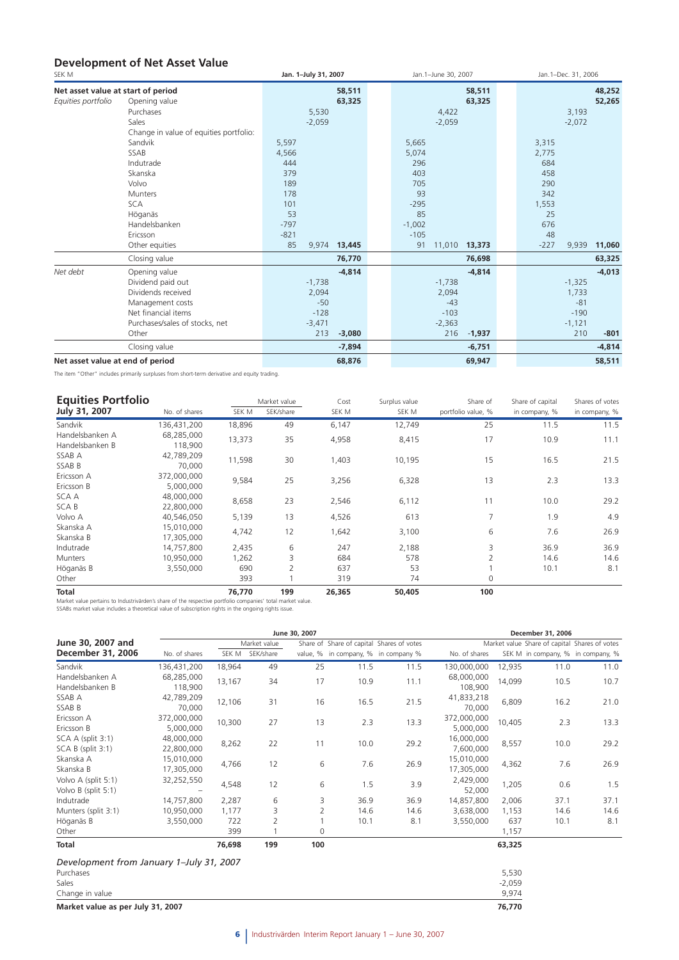### **Development of Net Asset Value**

| SEK M                              |                                        | Jan. 1-July 31, 2007 |          |          | Jan.1-June 30, 2007 |          |        | Jan.1-Dec. 31, 2006 |          |
|------------------------------------|----------------------------------------|----------------------|----------|----------|---------------------|----------|--------|---------------------|----------|
| Net asset value at start of period |                                        |                      | 58,511   |          |                     | 58,511   |        |                     | 48,252   |
| Equities portfolio                 | Opening value                          |                      | 63,325   |          |                     | 63,325   |        |                     | 52,265   |
|                                    | Purchases                              | 5,530                |          |          | 4,422               |          |        | 3,193               |          |
|                                    | Sales                                  | $-2,059$             |          |          | $-2,059$            |          |        | $-2,072$            |          |
|                                    | Change in value of equities portfolio: |                      |          |          |                     |          |        |                     |          |
|                                    | Sandvik                                | 5,597                |          | 5,665    |                     |          | 3,315  |                     |          |
|                                    | SSAB                                   | 4,566                |          | 5,074    |                     |          | 2,775  |                     |          |
|                                    | Indutrade                              | 444                  |          | 296      |                     |          | 684    |                     |          |
|                                    | Skanska                                | 379                  |          | 403      |                     |          | 458    |                     |          |
|                                    | Volvo                                  | 189                  |          | 705      |                     |          | 290    |                     |          |
|                                    | Munters                                | 178                  |          | 93       |                     |          | 342    |                     |          |
|                                    | <b>SCA</b>                             | 101                  |          | $-295$   |                     |          | 1,553  |                     |          |
|                                    | Höganäs                                | 53                   |          | 85       |                     |          | 25     |                     |          |
|                                    | Handelsbanken                          | $-797$               |          | $-1,002$ |                     |          | 676    |                     |          |
|                                    | Ericsson                               | $-821$               |          | $-105$   |                     |          | 48     |                     |          |
|                                    | Other equities                         | 85<br>9,974          | 13,445   | 91       | 11,010              | 13,373   | $-227$ | 9,939               | 11,060   |
|                                    | Closing value                          |                      | 76,770   |          |                     | 76,698   |        |                     | 63,325   |
| Net debt                           | Opening value                          |                      | $-4,814$ |          |                     | $-4,814$ |        |                     | $-4,013$ |
|                                    | Dividend paid out                      | $-1,738$             |          |          | $-1,738$            |          |        | $-1,325$            |          |
|                                    | Dividends received                     | 2,094                |          |          | 2,094               |          |        | 1,733               |          |
|                                    | Management costs                       | $-50$                |          |          | $-43$               |          |        | $-81$               |          |
|                                    | Net financial items                    | $-128$               |          |          | $-103$              |          |        | $-190$              |          |
|                                    | Purchases/sales of stocks, net         | $-3,471$             |          |          | $-2,363$            |          |        | $-1,121$            |          |
|                                    | Other                                  | 213                  | $-3,080$ |          | 216                 | $-1,937$ |        | 210                 | $-801$   |
|                                    | Closing value                          |                      | $-7,894$ |          |                     | $-6,751$ |        |                     | $-4,814$ |
| Net asset value at end of period   |                                        |                      | 68,876   |          |                     | 69,947   |        |                     | 58,511   |

The item "Other" includes primarily surpluses from short-term derivative and equity trading.

| <b>Equities Portfolio</b> |               |        | Market value   | Cost   | Surplus value | Share of                 | Share of capital | Shares of votes |
|---------------------------|---------------|--------|----------------|--------|---------------|--------------------------|------------------|-----------------|
| July 31, 2007             | No. of shares | SEK M  | SEK/share      | SEK M  | SEK M         | portfolio value, %       | in company, %    | in company, %   |
| Sandvik                   | 136,431,200   | 18,896 | 49             | 6,147  | 12,749        | 25                       | 11.5             | 11.5            |
| Handelsbanken A           | 68,285,000    | 13,373 | 35             | 4,958  | 8,415         | 17                       | 10.9             | 11.1            |
| Handelsbanken B           | 118,900       |        |                |        |               |                          |                  |                 |
| SSAB A                    | 42,789,209    | 11,598 | 30             | ,403   | 10,195        | 15                       | 16.5             | 21.5            |
| SSAB B                    | 70,000        |        |                |        |               |                          |                  |                 |
| Ericsson A                | 372,000,000   | 9,584  | 25             | 3,256  | 6,328         | 13                       | 2.3              | 13.3            |
| Ericsson B                | 5,000,000     |        |                |        |               |                          |                  |                 |
| SCA A                     | 48,000,000    | 8,658  | 23             | 2,546  | 6,112         | 11                       | 10.0             | 29.2            |
| <b>SCAB</b>               | 22,800,000    |        |                |        |               |                          |                  |                 |
| Volvo A                   | 40,546,050    | 5,139  | 13             | 4,526  | 613           | 7                        | 1.9              | 4.9             |
| Skanska A                 | 15,010,000    | 4,742  | 12             | ,642   | 3,100         | 6                        | 7.6              | 26.9            |
| Skanska B                 | 17,305,000    |        |                |        |               |                          |                  |                 |
| Indutrade                 | 14,757,800    | 2,435  | 6              | 247    | 2,188         | 3                        | 36.9             | 36.9            |
| Munters                   | 10,950,000    | 1,262  | 3              | 684    | 578           | $\overline{\mathcal{L}}$ | 14.6             | 14.6            |
| Höganäs B                 | 3,550,000     | 690    | $\overline{2}$ | 637    | 53            |                          | 10.1             | 8.1             |
| Other                     |               | 393    |                | 319    | 74            | $\Omega$                 |                  |                 |
| $T = 4 - 1$               |               | 70.770 | 100            | 20.205 | EQ AOE        | 100                      |                  |                 |

**Total 199 26,365** 50,405 76,770 199 26,365 50,405<br>Market value pertains to Industrivärden's share of the respective portfolio companies' total market value.<br>SSABs market value includes a theoretical value of subscription

|                                            |                          |        |                 | June 30, 2007  |                                           |      |                          |          | December 31, 2006 |                                               |
|--------------------------------------------|--------------------------|--------|-----------------|----------------|-------------------------------------------|------|--------------------------|----------|-------------------|-----------------------------------------------|
| June 30, 2007 and                          |                          |        | Market value    |                | Share of Share of capital Shares of votes |      |                          |          |                   | Market value Share of capital Shares of votes |
| December 31, 2006                          | No. of shares            |        | SEK M SEK/share |                | value, % in company, % in company %       |      | No. of shares            |          |                   | SEK M in company, % in company, %             |
| Sandvik                                    | 136,431,200              | 18,964 | 49              | 25             | 11.5                                      | 11.5 | 130,000,000              | 12,935   | 11.0              | 11.0                                          |
| Handelsbanken A<br>Handelsbanken B         | 68,285,000<br>118,900    | 13,167 | 34              | 17             | 10.9                                      | 11.1 | 68,000,000<br>108,900    | 14,099   | 10.5              | 10.7                                          |
| SSAB A<br>SSAB B                           | 42,789,209<br>70,000     | 12,106 | 31              | 16             | 16.5                                      | 21.5 | 41,833,218<br>70,000     | 6,809    | 16.2              | 21.0                                          |
| Ericsson A<br>Ericsson B                   | 372,000,000<br>5,000,000 | 10,300 | 27              | 13             | 2.3                                       | 13.3 | 372,000,000<br>5,000,000 | 10,405   | 2.3               | 13.3                                          |
| SCA A (split 3:1)<br>SCA B (split 3:1)     | 48,000,000<br>22,800,000 | 8,262  | 22              | 11             | 10.0                                      | 29.2 | 16,000,000<br>7,600,000  | 8,557    | 10.0              | 29.2                                          |
| Skanska A<br>Skanska B                     | 15,010,000<br>17,305,000 | 4,766  | 12              | 6              | 7.6                                       | 26.9 | 15,010,000<br>17,305,000 | 4,362    | 7.6               | 26.9                                          |
| Volvo A (split 5:1)<br>Volvo B (split 5:1) | 32,252,550               | 4,548  | 12              | 6              | 1.5                                       | 3.9  | 2,429,000<br>52,000      | 1,205    | 0.6               | 1.5                                           |
| Indutrade                                  | 14,757,800               | 2,287  | 6               | 3              | 36.9                                      | 36.9 | 14,857,800               | 2,006    | 37.1              | 37.1                                          |
| Munters (split 3:1)                        | 10,950,000               | 1,177  | 3               | $\overline{2}$ | 14.6                                      | 14.6 | 3,638,000                | 1,153    | 14.6              | 14.6                                          |
| Höganäs B                                  | 3,550,000                | 722    | 2               |                | 10.1                                      | 8.1  | 3,550,000                | 637      | 10.1              | 8.1                                           |
| Other                                      |                          | 399    |                 | 0              |                                           |      |                          | 1,157    |                   |                                               |
| <b>Total</b>                               |                          | 76,698 | 199             | 100            |                                           |      |                          | 63,325   |                   |                                               |
| Development from January 1-July 31, 2007   |                          |        |                 |                |                                           |      |                          |          |                   |                                               |
| Purchases                                  |                          |        |                 |                |                                           |      |                          | 5,530    |                   |                                               |
| Sales                                      |                          |        |                 |                |                                           |      |                          | $-2,059$ |                   |                                               |
| Change in value                            |                          |        |                 |                |                                           |      |                          | 9,974    |                   |                                               |
| Market value as per July 31, 2007          |                          |        |                 |                |                                           |      |                          | 76,770   |                   |                                               |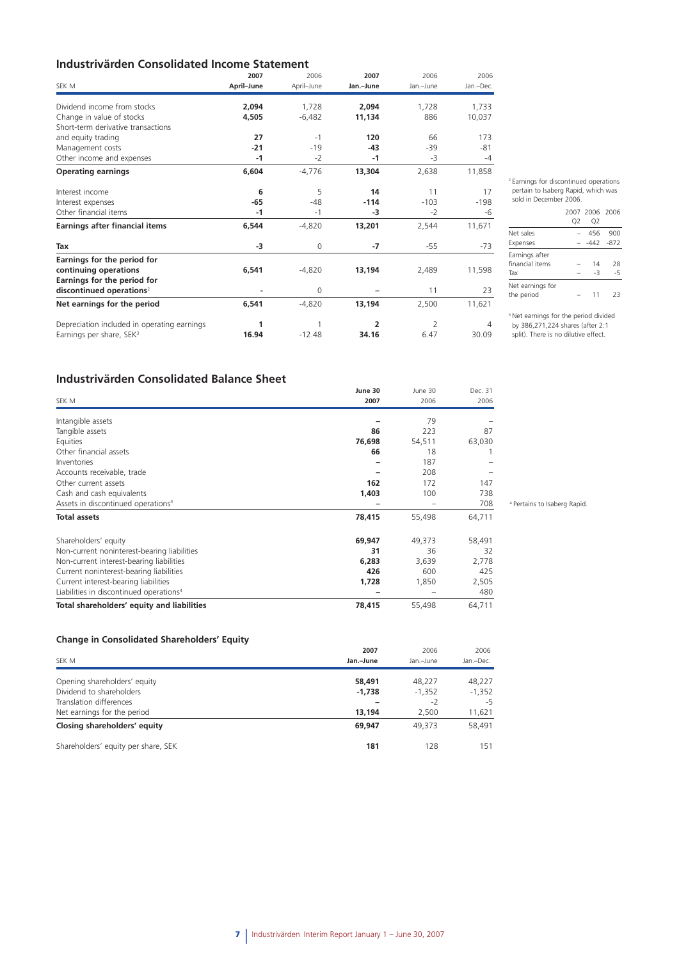### **Industrivärden Consolidated Income Statement**

|                                             | 2007       | 2006       | 2007           | 2006           | 2006      |
|---------------------------------------------|------------|------------|----------------|----------------|-----------|
| SEK M                                       | April-June | April-June | Jan.-June      | Jan.-June      | Jan.-Dec. |
| Dividend income from stocks                 | 2.094      | 1,728      | 2.094          | 1,728          | 1,733     |
| Change in value of stocks                   | 4,505      | $-6,482$   | 11,134         | 886            | 10,037    |
| Short-term derivative transactions          |            |            |                |                |           |
| and equity trading                          | 27         | $-1$       | 120            | 66             | 173       |
| Management costs                            | $-21$      | $-19$      | $-43$          | -39            | $-81$     |
| Other income and expenses                   | $-1$       | $-2$       | $-1$           | -3             | $-4$      |
| <b>Operating earnings</b>                   | 6,604      | $-4,776$   | 13,304         | 2,638          | 11,858    |
| Interest income                             | 6          | 5          | 14             | 11             | 17        |
| Interest expenses                           | $-65$      | $-48$      | $-114$         | $-103$         | $-198$    |
| Other financial items                       | $-1$       | $-1$       | -3             | $-2$           | -6        |
| Earnings after financial items              | 6.544      | $-4,820$   | 13,201         | 2,544          | 11,671    |
| Tax                                         | -3         | 0          | -7             | $-55$          | $-73$     |
| Earnings for the period for                 |            |            |                |                |           |
| continuing operations                       | 6,541      | $-4,820$   | 13,194         | 2,489          | 11,598    |
| Earnings for the period for                 |            |            |                |                |           |
| discontinued operations <sup>2</sup>        |            | $\Omega$   |                | 11             | 23        |
| Net earnings for the period                 | 6,541      | $-4.820$   | 13,194         | 2,500          | 11,621    |
| Depreciation included in operating earnings | 1          | 1          | $\overline{2}$ | $\overline{2}$ | 4         |
| Earnings per share, SEK <sup>3</sup>        | 16.94      | $-12.48$   | 34.16          | 6.47           | 30.09     |

2 Earnings for discontinued operations pertain to Isaberg Rapid, which was

#### sold in December 2006. 2007 2006 2006 Q2 Q2 Net sales – 456 900 Expenses – -442 -872 Earnings after financial items  $-$  14 28<br>Tax  $-$  3 -5 Tax  $-3$   $-5$ Net earnings for<br>the period  $- 11 23$

<sup>3</sup> Net earnings for the period divided by 386,271,224 shares (after 2:1 split). There is no dilutive effect.

### **Industrivärden Consolidated Balance Sheet**

|                                                     | June 30 | June 30 | Dec. 31 |
|-----------------------------------------------------|---------|---------|---------|
| SEK M                                               | 2007    | 2006    | 2006    |
| Intangible assets                                   |         | 79      |         |
| Tangible assets                                     | 86      | 223     | 87      |
| Equities                                            | 76,698  | 54,511  | 63,030  |
| Other financial assets                              | 66      | 18      |         |
| Inventories                                         |         | 187     |         |
| Accounts receivable, trade                          |         | 208     |         |
| Other current assets                                | 162     | 172     | 147     |
| Cash and cash equivalents                           | 1,403   | 100     | 738     |
| Assets in discontinued operations <sup>4</sup>      |         |         | 708     |
| <b>Total assets</b>                                 | 78,415  | 55,498  | 64,711  |
| Shareholders' equity                                | 69,947  | 49,373  | 58,491  |
| Non-current noninterest-bearing liabilities         | 31      | 36      | 32      |
| Non-current interest-bearing liabilities            | 6,283   | 3,639   | 2,778   |
| Current noninterest-bearing liabilities             | 426     | 600     | 425     |
| Current interest-bearing liabilities                | 1,728   | 1,850   | 2,505   |
| Liabilities in discontinued operations <sup>4</sup> |         |         | 480     |
| Total shareholders' equity and liabilities          | 78,415  | 55,498  | 64,711  |

4 Pertains to Isaberg Rapid.

### **Change in Consolidated Shareholders' Equity**

| $\tilde{\phantom{a}}$<br>SEK M      | 2007<br>Jan.-June | 2006<br>Jan.-June | 2006<br>Jan.-Dec. |
|-------------------------------------|-------------------|-------------------|-------------------|
| Opening shareholders' equity        | 58,491            | 48,227            | 48,227            |
| Dividend to shareholders            | $-1,738$          | $-1,352$          | $-1,352$          |
| Translation differences             |                   | $-2$              | $-5$              |
| Net earnings for the period         | 13,194            | 2.500             | 11,621            |
| Closing shareholders' equity        | 69,947            | 49.373            | 58,491            |
| Shareholders' equity per share, SEK | 181               | 128               | 151               |